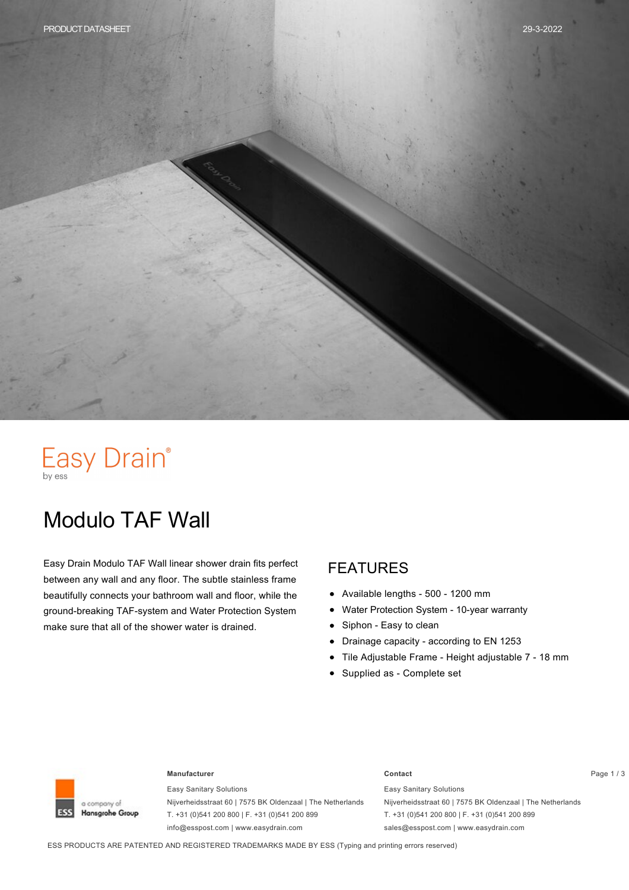# Easy Drain®

## Modulo TAF Wall

Easy Drain Modulo TAF Wall linear shower drain fits perfect between any wall and any floor. The subtle stainless frame beautifully connects your bathroom wall and floor, while the ground-breaking TAF-system and Water Protection System make sure that all of the shower water is drained.

#### FEATURES

- Available lengths 500 1200 mm  $\bullet$
- Water Protection System 10-year warranty  $\bullet$
- Siphon Easy to clean  $\bullet$
- Drainage capacity according to EN 1253  $\bullet$
- Tile Adjustable Frame Height adjustable 7 18 mm
- Supplied as Complete set



#### **Manufacturer Contact** Page 1 / 3

Easy Sanitary Solutions Nijverheidsstraat 60 | 7575 BK Oldenzaal | The Netherlands T. +31 (0)541 200 800 | F. +31 (0)541 200 899 info@esspost.com | www.easydrain.com

Easy Sanitary Solutions Nijverheidsstraat 60 | 7575 BK Oldenzaal | The Netherlands T. +31 (0)541 200 800 | F. +31 (0)541 200 899 sales@esspost.com | www.easydrain.com

ESS PRODUCTS ARE PATENTED AND REGISTERED TRADEMARKS MADE BY ESS (Typing and printing errors reserved)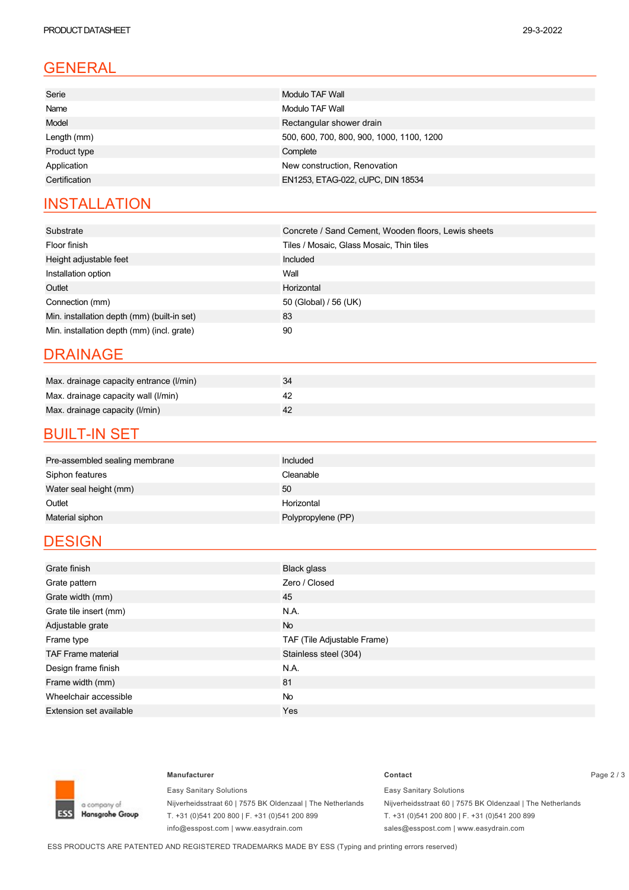### GENERAL

| Serie         | Modulo TAF Wall                           |
|---------------|-------------------------------------------|
| Name          | Modulo TAF Wall                           |
| Model         | Rectangular shower drain                  |
| Length (mm)   | 500, 600, 700, 800, 900, 1000, 1100, 1200 |
| Product type  | Complete                                  |
| Application   | New construction, Renovation              |
| Certification | EN1253, ETAG-022, cUPC, DIN 18534         |
|               |                                           |

#### **INSTALLATION**

| Substrate                                   | Concrete / Sand Cement, Wooden floors, Lewis sheets |
|---------------------------------------------|-----------------------------------------------------|
| Floor finish                                | Tiles / Mosaic, Glass Mosaic, Thin tiles            |
| Height adjustable feet                      | Included                                            |
| Installation option                         | Wall                                                |
| Outlet                                      | Horizontal                                          |
| Connection (mm)                             | 50 (Global) / 56 (UK)                               |
| Min. installation depth (mm) (built-in set) | 83                                                  |
| Min. installation depth (mm) (incl. grate)  | 90                                                  |

#### DRAINAGE

| Max. drainage capacity entrance (I/min) |  |
|-----------------------------------------|--|
| Max. drainage capacity wall (I/min)     |  |
| Max. drainage capacity (I/min)          |  |

#### **BUILT-IN SET**

| Included<br>Pre-assembled sealing membrane |  |
|--------------------------------------------|--|
| Cleanable<br>Siphon features               |  |
| Water seal height (mm)<br>50               |  |
| Outlet<br>Horizontal                       |  |
| Material siphon<br>Polypropylene (PP)      |  |

#### **DESIGN**

| Grate finish                   | Black glass                 |
|--------------------------------|-----------------------------|
| Grate pattern                  | Zero / Closed               |
| Grate width (mm)               | 45                          |
| Grate tile insert (mm)         | N.A.                        |
| Adjustable grate               | <b>No</b>                   |
| Frame type                     | TAF (Tile Adjustable Frame) |
| <b>TAF Frame material</b>      | Stainless steel (304)       |
| Design frame finish            | N.A.                        |
| Frame width (mm)               | 81                          |
| Wheelchair accessible          | No                          |
| <b>Extension set available</b> | Yes                         |



Easy Sanitary Solutions Nijverheidsstraat 60 | 7575 BK Oldenzaal | The Netherlands T. +31 (0)541 200 800 | F. +31 (0)541 200 899 info@esspost.com | www.easydrain.com

### **Manufacturer Contact** Page 2 / 3

Easy Sanitary Solutions Nijverheidsstraat 60 | 7575 BK Oldenzaal | The Netherlands T. +31 (0)541 200 800 | F. +31 (0)541 200 899 sales@esspost.com | www.easydrain.com

ESS PRODUCTS ARE PATENTED AND REGISTERED TRADEMARKS MADE BY ESS (Typing and printing errors reserved)